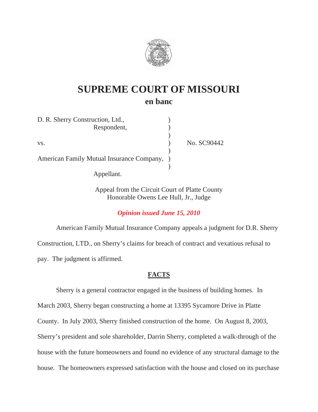

# **SUPREME COURT OF MISSOURI en banc**

| D. R. Sherry Construction, Ltd.,            |             |
|---------------------------------------------|-------------|
| Respondent,                                 |             |
|                                             |             |
| VS.                                         | No. SC90442 |
| American Family Mutual Insurance Company, ) |             |
| Appellant.                                  |             |

Appeal from the Circuit Court of Platte County Honorable Owens Lee Hull, Jr., Judge

*Opinion issued June 15, 2010* 

American Family Mutual Insurance Company appeals a judgment for D.R. Sherry Construction, LTD., on Sherry's claims for breach of contract and vexatious refusal to pay. The judgment is affirmed.

# **FACTS**

Sherry is a general contractor engaged in the business of building homes. In March 2003, Sherry began constructing a home at 13395 Sycamore Drive in Platte County. In July 2003, Sherry finished construction of the home. On August 8, 2003, Sherry's president and sole shareholder, Darrin Sherry, completed a walk-through of the house with the future homeowners and found no evidence of any structural damage to the house. The homeowners expressed satisfaction with the house and closed on its purchase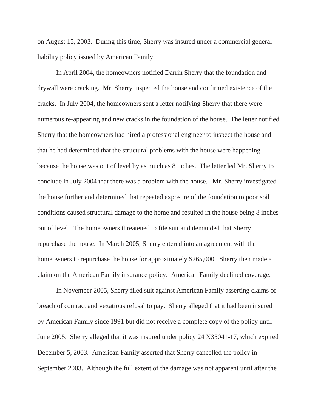on August 15, 2003. During this time, Sherry was insured under a commercial general liability policy issued by American Family.

 In April 2004, the homeowners notified Darrin Sherry that the foundation and drywall were cracking. Mr. Sherry inspected the house and confirmed existence of the cracks. In July 2004, the homeowners sent a letter notifying Sherry that there were numerous re-appearing and new cracks in the foundation of the house. The letter notified Sherry that the homeowners had hired a professional engineer to inspect the house and that he had determined that the structural problems with the house were happening because the house was out of level by as much as 8 inches. The letter led Mr. Sherry to conclude in July 2004 that there was a problem with the house. Mr. Sherry investigated the house further and determined that repeated exposure of the foundation to poor soil conditions caused structural damage to the home and resulted in the house being 8 inches out of level. The homeowners threatened to file suit and demanded that Sherry repurchase the house. In March 2005, Sherry entered into an agreement with the homeowners to repurchase the house for approximately \$265,000. Sherry then made a claim on the American Family insurance policy. American Family declined coverage.

 In November 2005, Sherry filed suit against American Family asserting claims of breach of contract and vexatious refusal to pay. Sherry alleged that it had been insured by American Family since 1991 but did not receive a complete copy of the policy until June 2005. Sherry alleged that it was insured under policy 24 X35041-17, which expired December 5, 2003. American Family asserted that Sherry cancelled the policy in September 2003. Although the full extent of the damage was not apparent until after the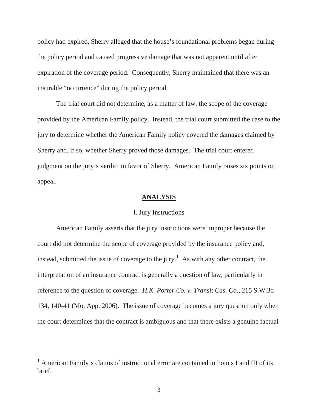policy had expired, Sherry alleged that the house's foundational problems began during the policy period and caused progressive damage that was not apparent until after expiration of the coverage period. Consequently, Sherry maintained that there was an insurable "occurrence" during the policy period.

The trial court did not determine, as a matter of law, the scope of the coverage provided by the American Family policy. Instead, the trial court submitted the case to the jury to determine whether the American Family policy covered the damages claimed by Sherry and, if so, whether Sherry proved those damages. The trial court entered judgment on the jury's verdict in favor of Sherry. American Family raises six points on appeal.

### **ANALYSIS**

#### I. Jury Instructions

American Family asserts that the jury instructions were improper because the court did not determine the scope of coverage provided by the insurance policy and, instead, submitted the issue of coverage to the jury.<sup>1</sup> As with any other contract, the interpretation of an insurance contract is generally a question of law, particularly in reference to the question of coverage. *H.K. Porter Co. v. Transit Cas. Co*., 215 S.W.3d 134, 140-41 (Mo. App. 2006). The issue of coverage becomes a jury question only when the court determines that the contract is ambiguous and that there exists a genuine factual

<sup>&</sup>lt;sup>1</sup> American Family's claims of instructional error are contained in Points I and III of its brief.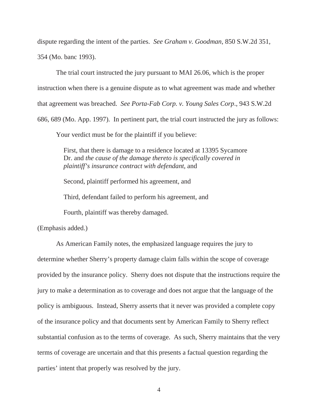dispute regarding the intent of the parties. *See Graham v. Goodman*, 850 S.W.2d 351, 354 (Mo. banc 1993).

The trial court instructed the jury pursuant to MAI 26.06, which is the proper instruction when there is a genuine dispute as to what agreement was made and whether that agreement was breached. *See Porta-Fab Corp. v. Young Sales Corp*., 943 S.W.2d 686, 689 (Mo. App. 1997). In pertinent part, the trial court instructed the jury as follows:

Your verdict must be for the plaintiff if you believe:

First, that there is damage to a residence located at 13395 Sycamore Dr. and *the cause of the damage thereto is specifically covered in plaintiff's insurance contract with defendant*, and

Second, plaintiff performed his agreement, and

Third, defendant failed to perform his agreement, and

Fourth, plaintiff was thereby damaged.

(Emphasis added.)

As American Family notes, the emphasized language requires the jury to determine whether Sherry's property damage claim falls within the scope of coverage provided by the insurance policy. Sherry does not dispute that the instructions require the jury to make a determination as to coverage and does not argue that the language of the policy is ambiguous. Instead, Sherry asserts that it never was provided a complete copy of the insurance policy and that documents sent by American Family to Sherry reflect substantial confusion as to the terms of coverage. As such, Sherry maintains that the very terms of coverage are uncertain and that this presents a factual question regarding the parties' intent that properly was resolved by the jury.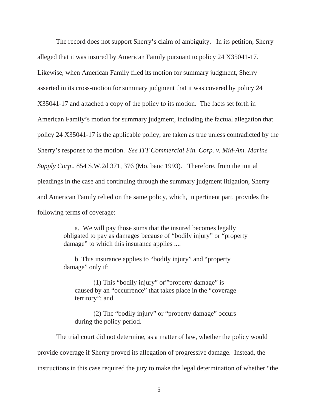The record does not support Sherry's claim of ambiguity. In its petition, Sherry alleged that it was insured by American Family pursuant to policy 24 X35041-17. Likewise, when American Family filed its motion for summary judgment, Sherry asserted in its cross-motion for summary judgment that it was covered by policy 24 X35041-17 and attached a copy of the policy to its motion. The facts set forth in American Family's motion for summary judgment, including the factual allegation that policy 24 X35041-17 is the applicable policy, are taken as true unless contradicted by the Sherry's response to the motion. *See ITT Commercial Fin. Corp. v. Mid-Am. Marine Supply Corp*., 854 S.W.2d 371, 376 (Mo. banc 1993). Therefore, from the initial pleadings in the case and continuing through the summary judgment litigation, Sherry and American Family relied on the same policy, which, in pertinent part, provides the following terms of coverage:

> a. We will pay those sums that the insured becomes legally obligated to pay as damages because of "bodily injury" or "property damage" to which this insurance applies ....

 b. This insurance applies to "bodily injury" and "property damage" only if:

 (1) This "bodily injury" or"'property damage" is caused by an "occurrence" that takes place in the "coverage territory"; and

 (2) The "bodily injury" or "property damage" occurs during the policy period.

The trial court did not determine, as a matter of law, whether the policy would provide coverage if Sherry proved its allegation of progressive damage. Instead, the instructions in this case required the jury to make the legal determination of whether "the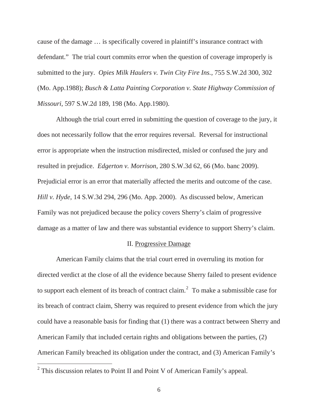cause of the damage … is specifically covered in plaintiff's insurance contract with defendant." The trial court commits error when the question of coverage improperly is submitted to the jury. *Opies Milk Haulers v. Twin City Fire Ins.*, 755 S.W.2d 300, 302 (Mo. App.1988); *Busch & Latta Painting Corporation v. State Highway Commission of Missouri*, 597 S.W.2d 189, 198 (Mo. App.1980).

Although the trial court erred in submitting the question of coverage to the jury, it does not necessarily follow that the error requires reversal. Reversal for instructional error is appropriate when the instruction misdirected, misled or confused the jury and resulted in prejudice. *Edgerton v. Morrison*, 280 S.W.3d 62, 66 (Mo. banc 2009). Prejudicial error is an error that materially affected the merits and outcome of the case. *Hill v. Hyde*, 14 S.W.3d 294, 296 (Mo. App. 2000). As discussed below, American Family was not prejudiced because the policy covers Sherry's claim of progressive damage as a matter of law and there was substantial evidence to support Sherry's claim.

#### II. Progressive Damage

American Family claims that the trial court erred in overruling its motion for directed verdict at the close of all the evidence because Sherry failed to present evidence to support each element of its breach of contract claim.<sup>2</sup> To make a submissible case for its breach of contract claim, Sherry was required to present evidence from which the jury could have a reasonable basis for finding that (1) there was a contract between Sherry and American Family that included certain rights and obligations between the parties, (2) American Family breached its obligation under the contract, and (3) American Family's

<sup>&</sup>lt;sup>2</sup> This discussion relates to Point II and Point V of American Family's appeal.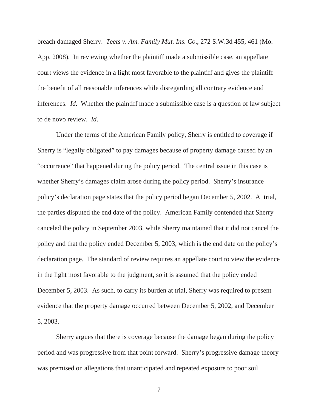breach damaged Sherry. *Teets v. Am. Family Mut. Ins. Co*., 272 S.W.3d 455, 461 (Mo. App. 2008). In reviewing whether the plaintiff made a submissible case, an appellate court views the evidence in a light most favorable to the plaintiff and gives the plaintiff the benefit of all reasonable inferences while disregarding all contrary evidence and inferences. *Id*. Whether the plaintiff made a submissible case is a question of law subject to de novo review. *Id*.

 Under the terms of the American Family policy, Sherry is entitled to coverage if Sherry is "legally obligated" to pay damages because of property damage caused by an "occurrence" that happened during the policy period. The central issue in this case is whether Sherry's damages claim arose during the policy period. Sherry's insurance policy's declaration page states that the policy period began December 5, 2002. At trial, the parties disputed the end date of the policy. American Family contended that Sherry canceled the policy in September 2003, while Sherry maintained that it did not cancel the policy and that the policy ended December 5, 2003, which is the end date on the policy's declaration page. The standard of review requires an appellate court to view the evidence in the light most favorable to the judgment, so it is assumed that the policy ended December 5, 2003. As such, to carry its burden at trial, Sherry was required to present evidence that the property damage occurred between December 5, 2002, and December 5, 2003.

 Sherry argues that there is coverage because the damage began during the policy period and was progressive from that point forward. Sherry's progressive damage theory was premised on allegations that unanticipated and repeated exposure to poor soil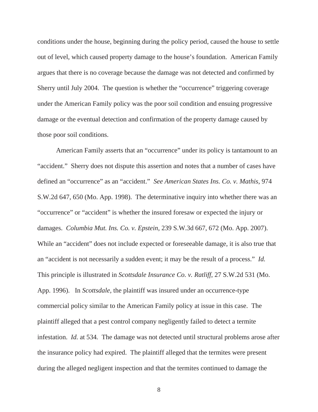conditions under the house, beginning during the policy period, caused the house to settle out of level, which caused property damage to the house's foundation. American Family argues that there is no coverage because the damage was not detected and confirmed by Sherry until July 2004. The question is whether the "occurrence" triggering coverage under the American Family policy was the poor soil condition and ensuing progressive damage or the eventual detection and confirmation of the property damage caused by those poor soil conditions.

American Family asserts that an "occurrence" under its policy is tantamount to an "accident." Sherry does not dispute this assertion and notes that a number of cases have defined an "occurrence" as an "accident." *See American States Ins. Co. v. Mathis*, 974 S.W.2d 647, 650 (Mo. App. 1998). The determinative inquiry into whether there was an "occurrence" or "accident" is whether the insured foresaw or expected the injury or damages. *Columbia Mut. Ins. Co. v. Epstein*, 239 S.W.3d 667, 672 (Mo. App. 2007). While an "accident" does not include expected or foreseeable damage, it is also true that an "accident is not necessarily a sudden event; it may be the result of a process." *Id.* This principle is illustrated in *Scottsdale Insurance Co. v. Ratliff*, 27 S.W.2d 531 (Mo. App. 1996). In *Scottsdale,* the plaintiff was insured under an occurrence-type commercial policy similar to the American Family policy at issue in this case. The plaintiff alleged that a pest control company negligently failed to detect a termite infestation. *Id.* at 534*.* The damage was not detected until structural problems arose after the insurance policy had expired. The plaintiff alleged that the termites were present during the alleged negligent inspection and that the termites continued to damage the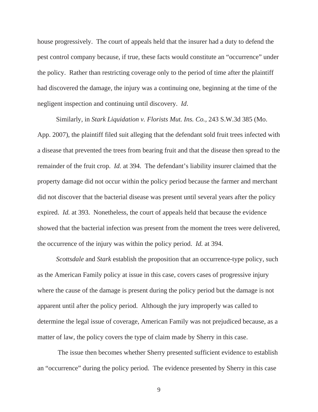house progressively. The court of appeals held that the insurer had a duty to defend the pest control company because, if true, these facts would constitute an "occurrence" under the policy. Rather than restricting coverage only to the period of time after the plaintiff had discovered the damage, the injury was a continuing one, beginning at the time of the negligent inspection and continuing until discovery. *Id*.

Similarly, in *Stark Liquidation v. Florists Mut. Ins. Co.,* 243 S.W.3d 385 (Mo. App. 2007), the plaintiff filed suit alleging that the defendant sold fruit trees infected with a disease that prevented the trees from bearing fruit and that the disease then spread to the remainder of the fruit crop. *Id.* at 394. The defendant's liability insurer claimed that the property damage did not occur within the policy period because the farmer and merchant did not discover that the bacterial disease was present until several years after the policy expired. *Id.* at 393. Nonetheless, the court of appeals held that because the evidence showed that the bacterial infection was present from the moment the trees were delivered, the occurrence of the injury was within the policy period. *Id.* at 394.

*Scottsdale* and *Stark* establish the proposition that an occurrence-type policy, such as the American Family policy at issue in this case, covers cases of progressive injury where the cause of the damage is present during the policy period but the damage is not apparent until after the policy period. Although the jury improperly was called to determine the legal issue of coverage, American Family was not prejudiced because, as a matter of law, the policy covers the type of claim made by Sherry in this case.

 The issue then becomes whether Sherry presented sufficient evidence to establish an "occurrence" during the policy period. The evidence presented by Sherry in this case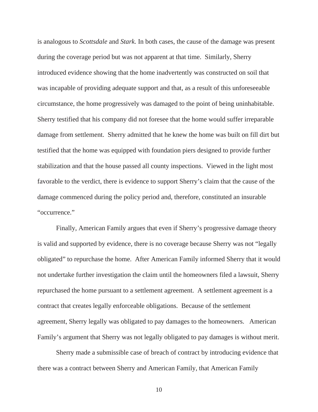is analogous to *Scottsdale* and *Stark.* In both cases, the cause of the damage was present during the coverage period but was not apparent at that time. Similarly, Sherry introduced evidence showing that the home inadvertently was constructed on soil that was incapable of providing adequate support and that, as a result of this unforeseeable circumstance, the home progressively was damaged to the point of being uninhabitable. Sherry testified that his company did not foresee that the home would suffer irreparable damage from settlement. Sherry admitted that he knew the home was built on fill dirt but testified that the home was equipped with foundation piers designed to provide further stabilization and that the house passed all county inspections. Viewed in the light most favorable to the verdict, there is evidence to support Sherry's claim that the cause of the damage commenced during the policy period and, therefore, constituted an insurable "occurrence."

Finally, American Family argues that even if Sherry's progressive damage theory is valid and supported by evidence, there is no coverage because Sherry was not "legally obligated" to repurchase the home. After American Family informed Sherry that it would not undertake further investigation the claim until the homeowners filed a lawsuit, Sherry repurchased the home pursuant to a settlement agreement. A settlement agreement is a contract that creates legally enforceable obligations. Because of the settlement agreement, Sherry legally was obligated to pay damages to the homeowners. American Family's argument that Sherry was not legally obligated to pay damages is without merit.

Sherry made a submissible case of breach of contract by introducing evidence that there was a contract between Sherry and American Family, that American Family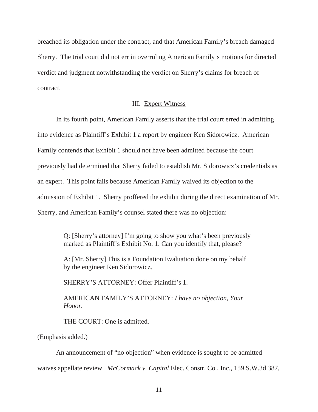breached its obligation under the contract, and that American Family's breach damaged Sherry. The trial court did not err in overruling American Family's motions for directed verdict and judgment notwithstanding the verdict on Sherry's claims for breach of contract.

#### III. Expert Witness

 In its fourth point, American Family asserts that the trial court erred in admitting into evidence as Plaintiff's Exhibit 1 a report by engineer Ken Sidorowicz. American Family contends that Exhibit 1 should not have been admitted because the court previously had determined that Sherry failed to establish Mr. Sidorowicz's credentials as an expert. This point fails because American Family waived its objection to the admission of Exhibit 1. Sherry proffered the exhibit during the direct examination of Mr. Sherry, and American Family's counsel stated there was no objection:

> Q: [Sherry's attorney] I'm going to show you what's been previously marked as Plaintiff's Exhibit No. 1. Can you identify that, please?

A: [Mr. Sherry] This is a Foundation Evaluation done on my behalf by the engineer Ken Sidorowicz.

SHERRY'S ATTORNEY: Offer Plaintiff's 1.

AMERICAN FAMILY'S ATTORNEY: *I have no objection, Your Honor.*

THE COURT: One is admitted.

(Emphasis added.)

An announcement of "no objection" when evidence is sought to be admitted waives appellate review. *McCormack v. Capital* Elec. Constr. Co., Inc., 159 S.W.3d 387,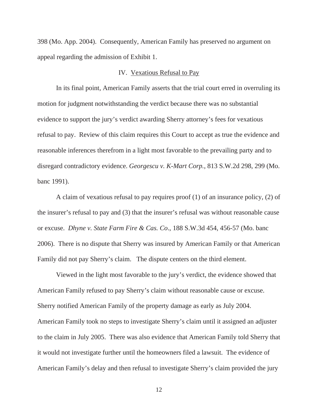398 (Mo. App. 2004). Consequently, American Family has preserved no argument on appeal regarding the admission of Exhibit 1.

#### IV. Vexatious Refusal to Pay

 In its final point, American Family asserts that the trial court erred in overruling its motion for judgment notwithstanding the verdict because there was no substantial evidence to support the jury's verdict awarding Sherry attorney's fees for vexatious refusal to pay. Review of this claim requires this Court to accept as true the evidence and reasonable inferences therefrom in a light most favorable to the prevailing party and to disregard contradictory evidence. *Georgescu v. K-Mart Corp.*, 813 S.W.2d 298, 299 (Mo. banc 1991).

 A claim of vexatious refusal to pay requires proof (1) of an insurance policy, (2) of the insurer's refusal to pay and (3) that the insurer's refusal was without reasonable cause or excuse. *Dhyne v. State Farm Fire & Cas. Co*., 188 S.W.3d 454, 456-57 (Mo. banc 2006). There is no dispute that Sherry was insured by American Family or that American Family did not pay Sherry's claim. The dispute centers on the third element.

 Viewed in the light most favorable to the jury's verdict, the evidence showed that American Family refused to pay Sherry's claim without reasonable cause or excuse. Sherry notified American Family of the property damage as early as July 2004. American Family took no steps to investigate Sherry's claim until it assigned an adjuster to the claim in July 2005. There was also evidence that American Family told Sherry that it would not investigate further until the homeowners filed a lawsuit. The evidence of American Family's delay and then refusal to investigate Sherry's claim provided the jury